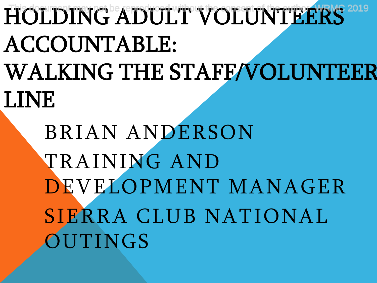HOLDING ADULT VOLUNTEERS<sup>2019</sup> ACCOUNTABLE: WALKING THE STAFF/VOLUNTEER LINE

> BRIAN ANDERSON TRAINING AND DEVELOPMENT MANAGER SIERRA CLUB NATIONAL **OUTINGS**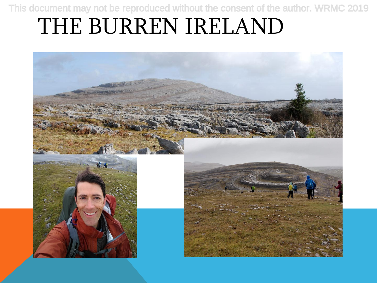### THE BURREN IRELAND

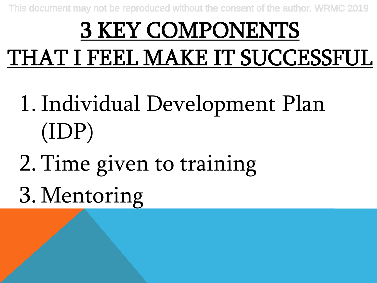## 3 KEY COMPONENTS THAT I FEEL MAKE IT SUCCESSFUL

- 1.Individual Development Plan (IDP)
- 2. Time given to training
- 3. Mentoring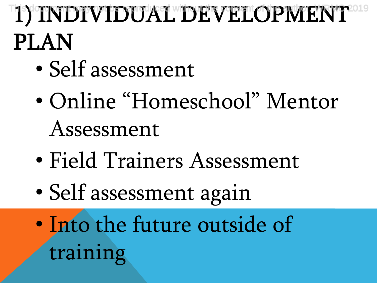## 1) INDIVIDUAL DEVELOPMENT<sup>2019</sup> PLAN

- Self assessment
- Online "Homeschool" Mentor Assessment
- Field Trainers Assessment
- Self assessment again
- Into the future outside of training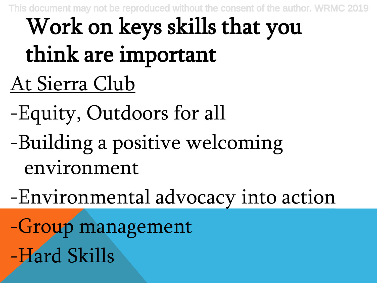## At Sierra Club Work on keys skills that you think are important

- -Equity, Outdoors for all
- -Building a positive welcoming environment
- -Environmental advocacy into action

-Group management -Hard Skills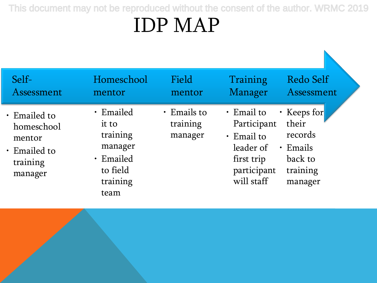### IDP MAP

| Self-<br>Assessment                                                               | Homeschool<br>mentor                                                                   | Field<br>mentor                          | Training<br>Manager                                                                                         | <b>Redo Self</b><br>Assessment                                                      |
|-----------------------------------------------------------------------------------|----------------------------------------------------------------------------------------|------------------------------------------|-------------------------------------------------------------------------------------------------------------|-------------------------------------------------------------------------------------|
| • Emailed to<br>homeschool<br>mentor<br>$\cdot$ Emailed to<br>training<br>manager | · Emailed<br>it to<br>training<br>manager<br>· Emailed<br>to field<br>training<br>team | $\cdot$ Emails to<br>training<br>manager | $\cdot$ Email to<br>Participant<br>$\cdot$ Email to<br>leader of<br>first trip<br>participant<br>will staff | • Keeps for<br>their<br>records<br>$\cdot$ Emails<br>back to<br>training<br>manager |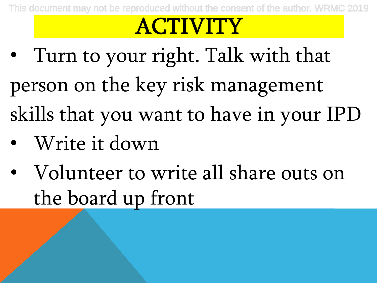### ACTIVITY

- Turn to your right. Talk with that person on the key risk management skills that you want to have in your IPD
- Write it down
- Volunteer to write all share outs on the board up front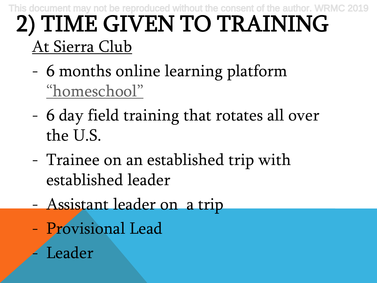#### 2) TIME GIVEN TO TRAINING At Sierra Club This document may not be reproduced without the consent of the author. WRMC 2019

- 6 months online learning platform ["homeschool"](https://sites.google.com/a/sierraclub.org/2019-september-nott--trainee-site/)
- 6 day field training that rotates all over the U.S.
- Trainee on an established trip with established leader
- Assistant leader on a trip
- Provisional Lead
	- **Leader**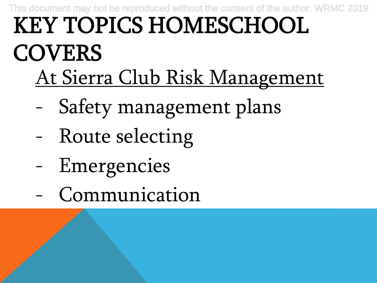#### KEY TOPICS HOMESCHOOL **COVERS** At Sierra Club Risk Management This document may not be reproduced without the consent of the author. WRMC 2019

- Safety management plans
- Route selecting
- Emergencies
- Communication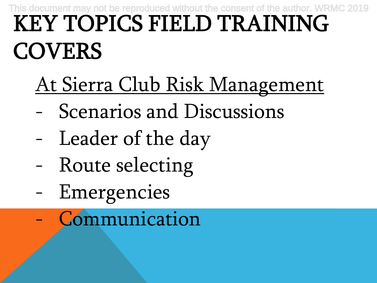#### KEY TOPICS FIELD TRAINING **COVERS** This document may not be reproduced without the conse

- At Sierra Club Risk Management
- Scenarios and Discussions
- Leader of the day
- Route selecting
- Emergencies
- **Communication**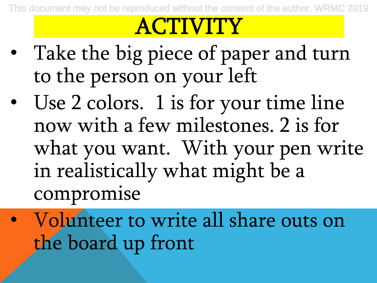### **ACTIVITY**

- Take the big piece of paper and turn to the person on your left
- Use 2 colors. 1 is for your time line now with a few milestones. 2 is for what you want. With your pen write in realistically what might be a compromise
- Volunteer to write all share outs on the board up front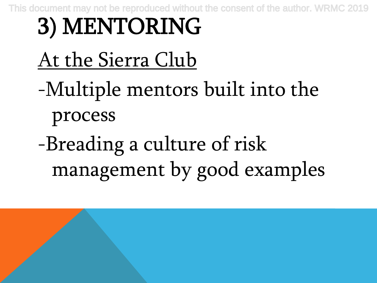# 3) MENTORING

### At the Sierra Club

- -Multiple mentors built into the process
- -Breading a culture of risk management by good examples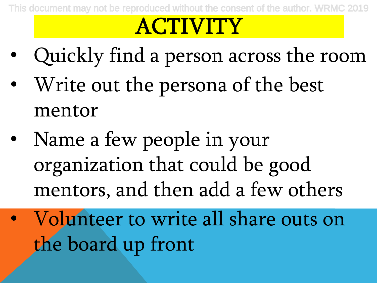### ACTIVITY

- Quickly find a person across the room
- Write out the persona of the best mentor
- Name a few people in your organization that could be good mentors, and then add a few others
- Volunteer to write all share outs on the board up front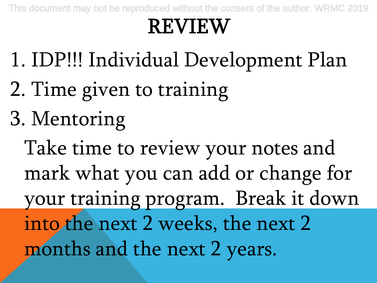### REVIEW

- 1. IDP!!! Individual Development Plan
- 2. Time given to training
- 3. Mentoring

Take time to review your notes and mark what you can add or change for your training program. Break it down into the next 2 weeks, the next 2 months and the next 2 years.